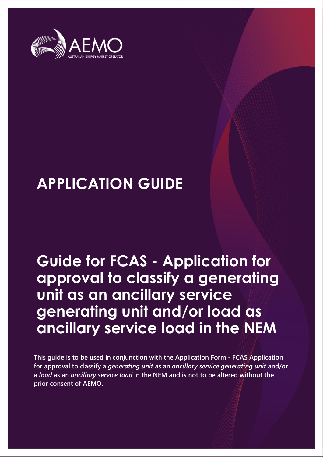

# **APPLICATION GUIDE**

# **Guide for FCAS - Application for approval to classify a generating unit as an ancillary service generating unit and/or load as ancillary service load in the NEM**

**This guide is to be used in conjunction with the Application Form - FCAS Application for approval to classify a** *generating unit* **as an** *ancillary service generating unit* **and/or a** *load* **as an** *ancillary service load* **in the NEM and is not to be altered without the prior consent of AEMO.**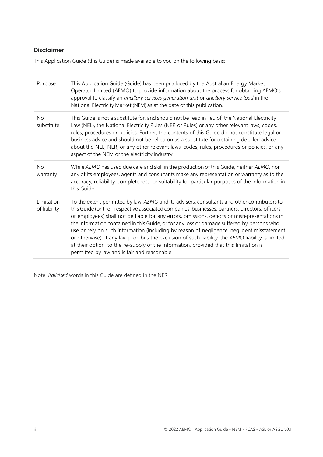#### **Disclaimer**

This Application Guide (this Guide) is made available to you on the following basis:

| Purpose                    | This Application Guide (Guide) has been produced by the Australian Energy Market<br>Operator Limited (AEMO) to provide information about the process for obtaining AEMO's<br>approval to classify an ancillary services generation unit or ancillary service load in the<br>National Electricity Market (NEM) as at the date of this publication.                                                                                                                                                                                                                                                                                                                                                                                             |
|----------------------------|-----------------------------------------------------------------------------------------------------------------------------------------------------------------------------------------------------------------------------------------------------------------------------------------------------------------------------------------------------------------------------------------------------------------------------------------------------------------------------------------------------------------------------------------------------------------------------------------------------------------------------------------------------------------------------------------------------------------------------------------------|
| <b>No</b><br>substitute    | This Guide is not a substitute for, and should not be read in lieu of, the National Electricity<br>Law (NEL), the National Electricity Rules (NER or Rules) or any other relevant laws, codes,<br>rules, procedures or policies. Further, the contents of this Guide do not constitute legal or<br>business advice and should not be relied on as a substitute for obtaining detailed advice<br>about the NEL, NER, or any other relevant laws, codes, rules, procedures or policies, or any<br>aspect of the NEM or the electricity industry.                                                                                                                                                                                                |
| <b>No</b><br>warranty      | While AEMO has used due care and skill in the production of this Guide, neither AEMO, nor<br>any of its employees, agents and consultants make any representation or warranty as to the<br>accuracy, reliability, completeness or suitability for particular purposes of the information in<br>this Guide.                                                                                                                                                                                                                                                                                                                                                                                                                                    |
| Limitation<br>of liability | To the extent permitted by law, AEMO and its advisers, consultants and other contributors to<br>this Guide (or their respective associated companies, businesses, partners, directors, officers<br>or employees) shall not be liable for any errors, omissions, defects or misrepresentations in<br>the information contained in this Guide, or for any loss or damage suffered by persons who<br>use or rely on such information (including by reason of negligence, negligent misstatement<br>or otherwise). If any law prohibits the exclusion of such liability, the AEMO liability is limited,<br>at their option, to the re-supply of the information, provided that this limitation is<br>permitted by law and is fair and reasonable. |

Note: *Italicised* words in this Guide are defined in the NER.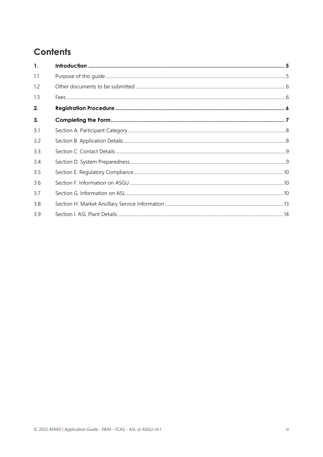## **Contents**

| 1.  |  |
|-----|--|
| 1.1 |  |
| 1.2 |  |
| 1.3 |  |
| 2.  |  |
| 3.  |  |
| 3.1 |  |
| 3.2 |  |
| 3.3 |  |
| 3.4 |  |
| 3.5 |  |
| 3.6 |  |
| 3.7 |  |
| 3.8 |  |
| 3.9 |  |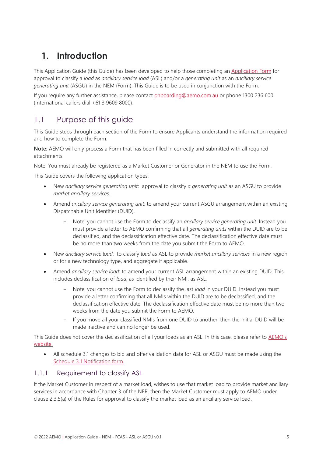## <span id="page-4-0"></span>**1. Introduction**

This Application Guide (this Guide) has been developed to help those completing an [Application](https://aemo.com.au/-/media/files/electricity/nem/participant_information/application-forms-and-supporting-documentation/Application-to-Classify-Generation-and-or-Load-as-ASL-or-ASGU.docx) Form for approval to classify a *load* as *ancillary service load* (ASL) and/or a *generating unit* as an *ancillary service generating unit* (ASGU) in the NEM (Form). This Guide is to be used in conjunction with the Form.

If you require any further assistance, please contact [onboarding@aemo.com.au](mailto:onboarding@aemo.com.au) or phone 1300 236 600 (International callers dial +61 3 9609 8000).

## <span id="page-4-1"></span>1.1 Purpose of this guide

This Guide steps through each section of the Form to ensure Applicants understand the information required and how to complete the Form.

**Note:** AEMO will only process a Form that has been filled in correctly and submitted with all required attachments.

Note: You must already be registered as a Market Customer or Generator in the NEM to use the Form.

This Guide covers the following application types:

- New *ancillary service generating unit*: approval to classify *a generating unit* as an ASGU to provide *market ancillary services*.
- Amend *ancillary service generating unit*: to amend your current ASGU arrangement within an existing Dispatchable Unit Identifier (DUID).
	- Note: you cannot use the Form to declassify an *ancillary service generating unit*. Instead you must provide a letter to AEMO confirming that all *generating units* within the DUID are to be declassified, and the declassification effective date. The declassification effective date must be no more than two weeks from the date you submit the Form to AEMO.
- New *ancillary service load*: to classify *load* as ASL to provide *market ancillary services* in a new region or for a new technology type, and aggregate if applicable.
- Amend *ancillary service load*: to amend your current ASL arrangement within an existing DUID. This includes declassification of *load*, as identified by their NMI, as ASL.
	- Note: you cannot use the Form to declassify the last *load* in your DUID. Instead you must provide a letter confirming that all NMIs within the DUID are to be declassified, and the declassification effective date. The declassification effective date must be no more than two weeks from the date you submit the Form to AEMO.
	- If you move all your classified NMIs from one DUID to another, then the initial DUID will be made inactive and can no longer be used.

This Guide does not cover the declassification of all your loads as an ASL. In this case, please refer to AEMO's [website.](https://aemo.com.au/energy-systems/electricity/national-electricity-market-nem/participate-in-the-market/registration/deregister-from-the-nem)

• All schedule 3.1 changes to bid and offer validation data for ASL or ASGU must be made using the [Schedule 3.1 Notification form.](https://aemo.com.au/-/media/files/electricity/nem/participant_information/application-forms-and-supporting-documentation/notification-form-nem-schedule-31-v2.docx?la=en)

#### 1.1.1 Requirement to classify ASL

If the Market Customer in respect of a market load, wishes to use that market load to provide market ancillary services in accordance with Chapter 3 of the NER, then the Market Customer must apply to AEMO under clause 2.3.5(a) of the Rules for approval to classify the market load as an ancillary service load.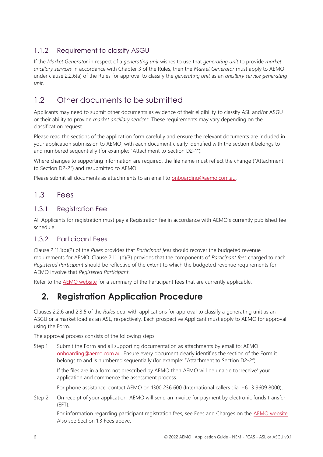#### 1.1.2 Requirement to classify ASGU

If the *Market Generator* in respect of a *generating unit* wishes to use that *generating unit* to provide *market ancillary services* in accordance with Chapter 3 of the Rules, then the *Market Generator* must apply to AEMO under clause 2.2.6(a) of the Rules for approval to classify the *generating unit* as an *ancillary service generating unit*.

## <span id="page-5-0"></span>1.2 Other documents to be submitted

Applicants may need to submit other documents as evidence of their eligibility to classify ASL and/or ASGU or their ability to provide *market ancillary services*. These requirements may vary depending on the classification request.

Please read the sections of the application form carefully and ensure the relevant documents are included in your application submission to AEMO, with each document clearly identified with the section it belongs to and numbered sequentially (for example: "Attachment to Section D2-1").

Where changes to supporting information are required, the file name must reflect the change ("Attachment to Section D2-2") and resubmitted to AEMO.

Please submit all documents as attachments to an email to [onboarding@aemo.com.au.](mailto:onboarding@aemo.com.au)

#### <span id="page-5-1"></span>1.3 Fees

#### 1.3.1 Registration Fee

All Applicants for registration must pay a Registration fee in accordance with AEMO's currently published [fee](https://www.aemo.com.au/about/corporate-governance/energy-market-fees-and-charges)  [schedule.](https://www.aemo.com.au/about/corporate-governance/energy-market-fees-and-charges)

#### 1.3.2 Participant Fees

Clause 2.11.1(b)(2) of the *Rules* provides that *Participant fees* should recover the budgeted revenue requirements for AEMO*.* Clause 2.11.1(b)(3) provides that the components of *Participant fees* charged to each *Registered Participant* should be reflective of the extent to which the budgeted revenue requirements for AEMO involve that *Registered Participant*.

<span id="page-5-2"></span>Refer to the **AEMO** website for a summary of the Participant fees that are currently applicable.

## **2. Registration Application Procedure**

Clauses 2.2.6 and 2.3.5 of the *Rules* deal with applications for approval to classify a generating unit as an ASGU or a market load as an ASL, respectively. Each prospective Applicant must apply to AEMO for approval using the Form.

The approval process consists of the following steps:

Step 1 Submit the Form and all supporting documentation as attachments by email to: AEMO [onboarding@aemo.com.au.](mailto:onboarding@aemo.com.au) Ensure every document clearly identifies the section of the Form it belongs to and is numbered sequentially (for example: "Attachment to Section D2-2").

If the files are in a form not prescribed by AEMO then AEMO will be unable to 'receive' your application and commence the assessment process.

For phone assistance, contact AEMO on 1300 236 600 (International callers dial +61 3 9609 8000).

Step 2 On receipt of your application, AEMO will send an invoice for payment by electronic funds transfer (EFT).

For information regarding participant registration fees, see Fees and Charges on the [AEMO website.](https://www.aemo.com.au/about/corporate-governance/energy-market-fees-and-charges) Also see Section 1.3 Fees above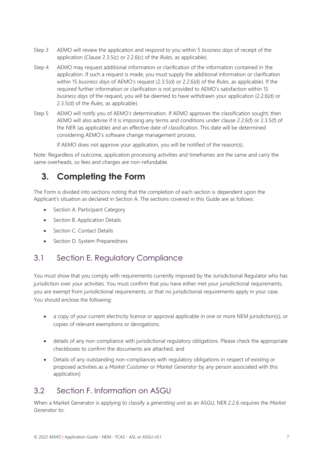- Step 3 AEMO will review the application and respond to you within 5 *business days* of receipt of the application (Clause 2.3.5(c) or 2.2.6(c) of the *Rules,* as applicable).
- Step 4 AEMO may request additional information or clarification of the information contained in the application. If such a request is made, you must supply the additional information or clarification within 15 *business days* of AEMO*'s* request (2.3.5(d) or 2.2.6(d) of the *Rules,* as applicable). If the required further information or clarification is not provided to AEMO's satisfaction within 15 *business days* of the request, you will be deemed to have withdrawn your application (2.2.6(d) or 2.3.5(d) of the *Rules,* as applicable).
- Step 5 AEMO will notify you of AEMO*'s* determination. If AEMO approves the classification sought, then AEMO will also advise if it is imposing any terms and conditions under clause 2.2.6(f) or 2.3.5(f) of the NER (as applicable) and an effective date of classification. This date will be determined considering AEMO's software change management process.

If AEMO does not approve your application, you will be notified of the reason(s).

Note: Regardless of outcome, application processing activities and timeframes are the same and carry the same overheads, so fees and charges are non-refundable.

## <span id="page-6-0"></span>**3. Completing the Form**

The Form is divided into sections noting that the completion of each section is dependent upon the Applicant's situation as declared in Section A. The sections covered in this Guide are as follows:

- [Section A. Participant Category](#page-7-0)
- [Section B. Application Details](#page-7-1)
- [Section C. Contact Details](#page-8-0)
- [Section D. System Preparedness](#page-8-1)

### 3.1 [Section E. Regulatory Compliance](#page-9-0)

[You must show that you comply with requirements currently imposed by the Jurisdictional Regulator who has](#page-9-0)  [jurisdiction over your activities. You must confirm that you have either met your jurisdictional requirements,](#page-9-0)  [you are exempt from jurisdictional requirements, or that no jurisdictional requirements apply in your case.](#page-9-0)  [You should enclose the following:](#page-9-0) 

- [a copy of your current electricity licence or approval applicable in one or more NEM jurisdiction\(s\), or](#page-9-0)  [copies of relevant exemptions or derogations;](#page-9-0)
- [details of any non-compliance with jurisdictional regulatory obligations. Please check the appropriate](#page-9-0)  [checkboxes to confirm the documents are attached; and](#page-9-0)
- [Details of any outstanding non-compliances with regulatory obligations in respect of existing or](#page-9-0)  proposed activities as a *Market Customer* or *Market Generator* [by any person associated with this](#page-9-0)  [application\]](#page-9-0)

## 3.2 [Section F. Information on ASGU](#page-9-0)

[When a Market Generator is applying to classify a](#page-9-0) *generating unit* as an ASGU, NER 2.2.6 requires the *Market [Generator](#page-9-0)* to: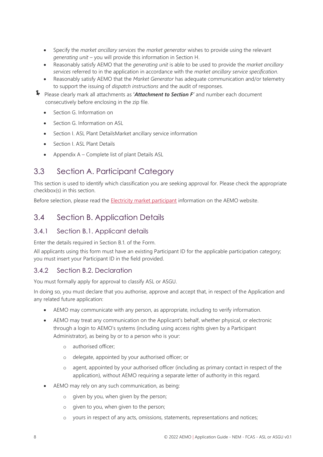- Specify the *market ancillary services* the *market generator* [wishes to provide using the relevant](#page-9-0)  *generating unit* – [you will provide this information in Section H.](#page-9-0)
- [Reasonably satisfy AEMO that the](#page-9-0) *generating unit* is able to be used to provide the *market ancillary services* [referred to in the application in accordance with the](#page-9-0) *market ancillary service specification*.
- Reasonably satisfy AEMO that the *Market Generator* [has adequate communication and/or telemetry](#page-9-0) [to support the issuing of](#page-9-0) *dispatch instructions* and the audit of responses.
- [Please clearly mark all attachments as](#page-9-0) **'***Attachment to Section F'* and number each document [consecutively before enclosing in the zip file.](#page-9-0)
	- [Section G. Information on](#page-9-0)
	- Section G. Information on ASL
	- Section I. [ASL Plant DetailsM](#page-13-0)arket ancillary service information
	- Section I. ASL Plant Details
	- Appendix A Complete list of plant Details ASL

## <span id="page-7-0"></span>3.3 Section A. Participant Category

This section is used to identify which classification you are seeking approval for. Please check the appropriate checkbox(s) in this section.

Before selection, please read the [Electricity market participant](https://www.aemo.com.au/learn/market-participants/electricity-market-participants) information on the AEMO website.

## <span id="page-7-1"></span>3.4 Section B. Application Details

#### 3.4.1 Section B.1. Applicant details

Enter the details required in Section B.1. of the Form.

All applicants using this form must have an existing Participant ID for the applicable participation category; you must insert your Participant ID in the field provided.

#### 3.4.2 Section B.2. Declaration

You must formally apply for approval to classify ASL or ASGU.

In doing so, you must declare that you authorise, approve and accept that, in respect of the Application and any related future application:

- AEMO may communicate with any person, as appropriate, including to verify information.
- AEMO may treat any communication on the Applicant's behalf, whether physical, or electronic through a login to AEMO's systems (including using access rights given by a Participant Administrator), as being by or to a person who is your:
	- o authorised officer;
	- o delegate, appointed by your authorised officer; or
	- o agent, appointed by your authorised officer (including as primary contact in respect of the application), without AEMO requiring a separate letter of authority in this regard.
- AEMO may rely on any such communication, as being:
	- o given by you, when given by the person;
	- o given to you, when given to the person;
	- o yours in respect of any acts, omissions, statements, representations and notices;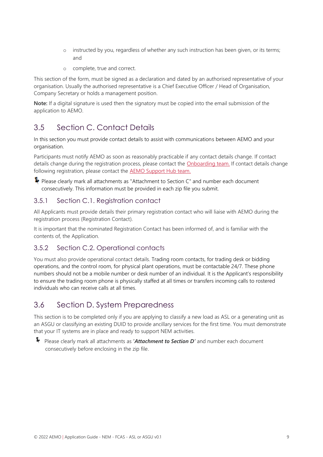- o instructed by you, regardless of whether any such instruction has been given, or its terms; and
- o complete, true and correct.

This section of the form, must be signed as a declaration and dated by an authorised representative of your organisation. Usually the authorised representative is a Chief Executive Officer / Head of Organisation, Company Secretary or holds a management position.

**Note:** If a digital signature is used then the signatory must be copied into the email submission of the application to AEMO.

## <span id="page-8-0"></span>3.5 Section C. Contact Details

In this section you must provide contact details to assist with communications between AEMO and your organisation.

Participants must notify AEMO as soon as reasonably practicable if any contact details change. If contact details change during the registration process, please contact the [Onboarding team.](mailto:onboarding@aemo.com.au) If contact details change following registration, please contact the [AEMO Support Hub team.](mailto:Support.Hub@aemo.com.au)

P Please clearly mark all attachments as "Attachment to Section C" and number each document consecutively. This information must be provided in each zip file you submit.

#### 3.5.1 Section C.1. Registration contact

All Applicants must provide details their primary registration contact who will liaise with AEMO during the registration process (Registration Contact).

It is important that the nominated Registration Contact has been informed of, and is familiar with the contents of, the Application.

#### 3.5.2 Section C.2. Operational contacts

You must also provide operational contact details. Trading room contacts, for trading desk or bidding operations, and the control room, for physical plant operations, must be contactable 24/7. These phone numbers should not be a mobile number or desk number of an individual. It is the Applicant's responsibility to ensure the trading room phone is physically staffed at all times or transfers incoming calls to rostered individuals who can receive calls at all times.

## <span id="page-8-1"></span>3.6 Section D. System Preparedness

This section is to be completed only if you are applying to classify a new load as ASL or a generating unit as an ASGU or classifying an existing DUID to provide ancillary services for the first time. You must demonstrate that your IT systems are in place and ready to support NEM activities.

 Please clearly mark all attachments as **'***Attachment to Section <sup>D</sup>'* and number each document consecutively before enclosing in the zip file.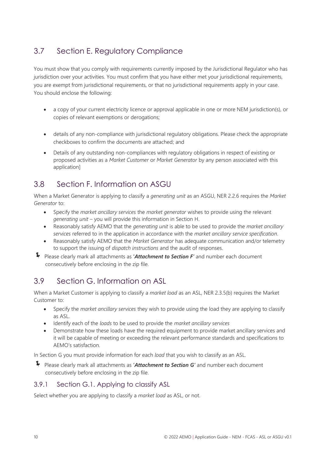## <span id="page-9-0"></span>3.7 Section E. Regulatory Compliance

You must show that you comply with requirements currently imposed by the Jurisdictional Regulator who has jurisdiction over your activities. You must confirm that you have either met your jurisdictional requirements, you are exempt from jurisdictional requirements, or that no jurisdictional requirements apply in your case. You should enclose the following:

- a copy of your current electricity licence or approval applicable in one or more NEM jurisdiction(s), or copies of relevant exemptions or derogations;
- details of any non-compliance with jurisdictional regulatory obligations. Please check the appropriate checkboxes to confirm the documents are attached; and
- Details of any outstanding non-compliances with regulatory obligations in respect of existing or proposed activities as a *Market Customer* or *Market Generator* by any person associated with this application]

## <span id="page-9-1"></span>3.8 Section F. Information on ASGU

When a Market Generator is applying to classify a *generating unit* as an ASGU, NER 2.2.6 requires the *Market Generator* to:

- Specify the *market ancillary services* the *market generator* wishes to provide using the relevant *generating unit* – you will provide this information in Section H.
- Reasonably satisfy AEMO that the *generating unit* is able to be used to provide the *market ancillary services* referred to in the application in accordance with the *market ancillary service specification*.
- Reasonably satisfy AEMO that the *Market Generator* has adequate communication and/or telemetry to support the issuing of *dispatch instructions* and the audit of responses.
- Please clearly mark all attachments as **'***Attachment to Section F'* and number each document consecutively before enclosing in the zip file.

## <span id="page-9-2"></span>3.9 Section G. Information on ASL

When a Market Customer is applying to classify a *market load* as an ASL, NER 2.3.5(b) requires the Market Customer to:

- Specify the *market ancillary services* they wish to provide using the load they are applying to classify as ASL.
- Identify each of the *loads* to be used to provide the *market ancillary services*
- Demonstrate how these loads have the required equipment to provide market ancillary services and it will be capable of meeting or exceeding the relevant performance standards and specifications to AEMO's satisfaction.

In Section G you must provide information for each *load* that you wish to classify as an ASL.

 Please clearly mark all attachments as **'***Attachment to Section <sup>G</sup>'* and number each document consecutively before enclosing in the zip file.

#### 3.9.1 Section G.1. Applying to classify ASL

Select whether you are applying to classify a *market load* as ASL, or not.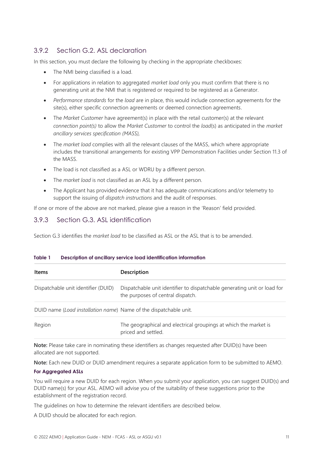#### 3.9.2 Section G.2. ASL declaration

In this section, you must declare the following by checking in the appropriate checkboxes:

- The NMI being classified is a load.
- For applications in relation to aggregated *market load* only you must confirm that there is no generating unit at the NMI that is registered or required to be registered as a Generator.
- *Performance standards* for the *load* are in place, this would include connection agreements for the site(s), either specific connection agreements or deemed connection agreements.
- The *Market Customer* have agreement(s) in place with the retail customer(s) at the relevant *connection point(s)* to allow the *Market Customer* to control the *load*(s) as anticipated in the *market ancillary services specification (MASS),*
- The *market load* complies with all the relevant clauses of the MASS, which where appropriate includes the transitional arrangements for existing VPP Demonstration Facilities under Section 11.3 of the MASS.
- The load is not classified as a ASL or WDRU by a different person.
- The *market load* is not classified as an ASL by a different person.
- The Applicant has provided evidence that it has adequate communications and/or telemetry to support the issuing of *dispatch instructions* and the audit of responses.

If one or more of the above are not marked, please give a reason in the 'Reason' field provided.

#### 3.9.3 Section G.3. ASL identification

Section G.3 identifies the *market load* to be classified as ASL or the ASL that is to be amended.

#### **Table 1 Description of ancillary service load identification information**

| <b>Items</b>                                                      | <b>Description</b>                                                                                            |
|-------------------------------------------------------------------|---------------------------------------------------------------------------------------------------------------|
| Dispatchable unit identifier (DUID)                               | Dispatchable unit identifier to dispatchable generating unit or load for<br>the purposes of central dispatch. |
| DUID name (Load installation name) Name of the dispatchable unit. |                                                                                                               |
| Region                                                            | The geographical and electrical groupings at which the market is<br>priced and settled.                       |

**Note:** Please take care in nominating these identifiers as changes requested after DUID(s) have been allocated are not supported.

**Note:** Each new DUID or DUID amendment requires a separate application form to be submitted to AEMO.

#### **For Aggregated ASLs**

You will require a new DUID for each region. When you submit your application, you can suggest DUID(s) and DUID name(s) for your ASL. AEMO will advise you of the suitability of these suggestions prior to the establishment of the registration record.

The guidelines on how to determine the relevant identifiers are described below.

A DUID should be allocated for each region.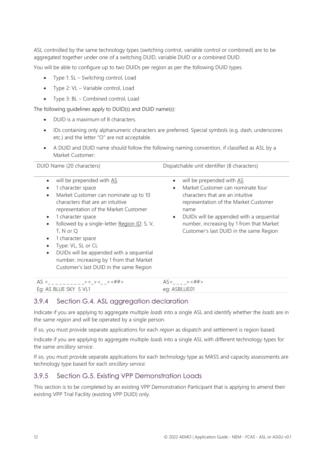ASL controlled by the same technology types (switching control, variable control or combined) are to be aggregated together under one of a switching DUID, variable DUID or a combined DUID.

You will be able to configure up to two DUIDs per region as per the following DUID types.

- Type 1: SL Switching control, Load
- Type 2: VL Variable control, Load
- Type 3: BL Combined control, Load

The following guidelines apply to DUID(s) and DUID name(s):

- DUID is a maximum of 8 characters.
- IDs containing only alphanumeric characters are preferred. Special symbols (e.g. dash, underscores etc.) and the letter "O" are not acceptable.
- A DUID and DUID name should follow the following naming convention, if classified as ASL by a Market Customer:

| DUID Name (20 characters)                                                                                                                                                                                                                                                                                                                                                                                                                                                                                          | Dispatchable unit identifier (8 characters)                                                                                                                                                                                                                                                                      |
|--------------------------------------------------------------------------------------------------------------------------------------------------------------------------------------------------------------------------------------------------------------------------------------------------------------------------------------------------------------------------------------------------------------------------------------------------------------------------------------------------------------------|------------------------------------------------------------------------------------------------------------------------------------------------------------------------------------------------------------------------------------------------------------------------------------------------------------------|
| will be prepended with AS<br>$\bullet$<br>1 character space<br>$\bullet$<br>Market Customer can nominate up to 10<br>$\bullet$<br>characters that are an intuitive<br>representation of the Market Customer<br>1 character space<br>$\bullet$<br>followed by a single-letter Region ID: S, V,<br>T, N or Q<br>1 character space<br>$\bullet$<br>Type: VL, SL or CL<br>DUIDs will be appended with a sequential<br>$\bullet$<br>number, increasing by 1 from that Market<br>Customer's last DUID in the same Region | will be prepended with AS<br>Market Customer can nominate four<br>$\bullet$<br>characters that are an intuitive<br>representation of the Market Customer<br>name<br>DUIDs will be appended with a sequential<br>$\bullet$<br>number, increasing by 1 from that Market<br>Customer's last DUID in the same Region |

| Д<br>ت ر              | А                                               |
|-----------------------|-------------------------------------------------|
| Eg: AS BLUE SKY S VL1 | $\rho$ <sup><math>\alpha</math></sup> ASBI UF01 |

#### 3.9.4 Section G.4. ASL aggregation declaration

Indicate if you are applying to aggregate multiple *loads* into a single ASL and identify whether the *loads* are in the same *region* and will be operated by a single person.

If so, you must provide separate applications for each *region* as dispatch and settlement is region based.

Indicate if you are applying to aggregate multiple *loads* into a single ASL with different technology types for the same *ancillary service*.

If so, you must provide separate applications for each technology type as MASS and capacity assessments are technology type based for each *ancillary service*.

#### 3.9.5 Section G.5. Existing VPP Demonstration Loads

This section is to be completed by an existing VPP Demonstration Participant that is applying to amend their existing VPP Trial Facility (existing VPP DUID) only.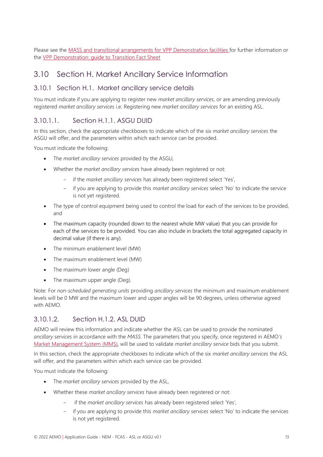Please see the [MASS and transitional arrangements for VPP Demonstration facilities f](https://aemo.com.au/-/media/files/stakeholder_consultation/consultations/nem-consultations/2021/mass/final-determination/market-ancillary-services-specification-v70-clean.pdf?la=en)or further information or the [VPP Demonstration: guide to Transition Fact Sheet](https://aemo.com.au/-/media/files/stakeholder_consultation/consultations/nem-consultations/2021/mass/final-determination/vpp-demonstrations-guide-to-transition.pdf?la=en) 

### <span id="page-12-0"></span>3.10 Section H. Market Ancillary Service Information

#### 3.10.1 Section H.1. Market ancillary service details

You must indicate if you are applying to register new *market ancillary services*, or are amending previously registered *market ancillary services* i.e. Registering new *market ancillary services* for an existing ASL.

#### 3.10.1.1. Section H.1.1. ASGU DUID

In this section, check the appropriate checkboxes to indicate which of the six *market ancillary services* the ASGU will offer, and the parameters within which each service can be provided.

You must indicate the following:

- The *market ancillary services* provided by the ASGU,
- Whether the *market ancillary services* have already been registered or not:
	- if the *market ancillary services* has already been registered select 'Yes',
	- if you are applying to provide this *market ancillary services* select 'No' to indicate the service is not yet registered.
- The type of control equipment being used to control the load for each of the services to be provided, and
- The maximum capacity (rounded down to the nearest whole MW value) that you can provide for each of the services to be provided. You can also include in brackets the total aggregated capacity in decimal value (if there is any).
- The minimum enablement level (MW)
- The maximum enablement level (MW)
- The maximum lower angle (Deg)
- The maximum upper angle (Deg).

Note: For *non-scheduled generating units* providing *ancillary services* the minimum and maximum enablement levels will be 0 MW and the maximum lower and upper angles will be 90 degrees, unless otherwise agreed with AEMO.

#### 3.10.1.2. Section H.1.2. ASL DUID

AEMO will review this information and indicate whether the ASL can be used to provide the nominated *ancillary services* in accordance with the *MASS*. The parameters that you specify, once registered in AEMO*'s*  [Market Management System](https://aemo.com.au/en/energy-systems/electricity/national-electricity-market-nem/data-nem/market-management-system-mms-data) (MMS), will be used to validate *market ancillary service* bids that you submit.

In this section, check the appropriate checkboxes to indicate which of the six *market ancillary services* the ASL will offer, and the parameters within which each service can be provided.

You must indicate the following:

- The *market ancillary services* provided by the ASL,
- Whether these *market ancillary services* have already been registered or not:
	- if the *market ancillary services* has already been registered select 'Yes',
	- if you are applying to provide this *market ancillary services* select 'No' to indicate the services is not yet registered.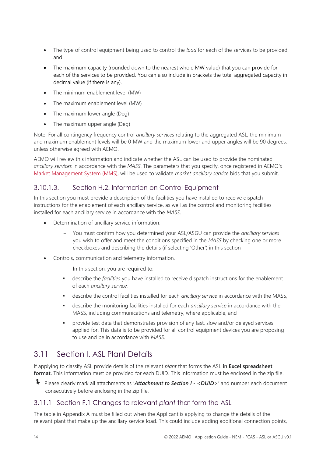- The type of control equipment being used to control the *load* for each of the services to be provided, and
- The maximum capacity (rounded down to the nearest whole MW value) that you can provide for each of the services to be provided. You can also include in brackets the total aggregated capacity in decimal value (if there is any).
- The minimum enablement level (MW)
- The maximum enablement level (MW)
- The maximum lower angle (Deg)
- The maximum upper angle (Deg)

Note: For all contingency frequency control *ancillary services* relating to the aggregated ASL, the minimum and maximum enablement levels will be 0 MW and the maximum lower and upper angles will be 90 degrees, unless otherwise agreed with AEMO.

AEMO will review this information and indicate whether the ASL can be used to provide the nominated *ancillary services* in accordance with the *MASS*. The parameters that you specify, once registered in AEMO*'s*  [Market Management System](https://aemo.com.au/en/energy-systems/electricity/national-electricity-market-nem/data-nem/market-management-system-mms-data) (MMS), will be used to validate *market ancillary service* bids that you submit.

#### 3.10.1.3. Section H.2. Information on Control Equipment

In this section you must provide a description of the facilities you have installed to receive dispatch instructions for the enablement of each ancillary service, as well as the control and monitoring facilities installed for each ancillary service in accordance with the *MASS*.

- Determination of ancillary service information.
	- You must confirm how you determined your ASL/ASGU can provide the *ancillary services* you wish to offer and meet the conditions specified in the *MASS* by checking one or more checkboxes and describing the details (if selecting 'Other') in this section
- Controls, communication and telemetry information.
	- In this section, you are required to:
	- describe the *facilities* you have installed to receive dispatch instructions for the enablement of each *ancillary service,*
	- describe the control facilities installed for each *ancillary service* in accordance with the MASS,
	- describe the monitoring facilities installed for each *ancillary service* in accordance with the MASS, including communications and telemetry, where applicable, and
	- provide test data that demonstrates provision of any fast, slow and/or delayed services applied for. This data is to be provided for all control equipment devices you are proposing to use and be in accordance with *MASS*.

## <span id="page-13-0"></span>3.11 Section I. ASL Plant Details

If applying to classify ASL provide details of the relevant *plant* that forms the ASL **in Excel spreadsheet format.** This information must be provided for each DUID. This information must be enclosed in the zip file.

 Please clearly mark all attachments as **'***Attachment to Section <sup>I</sup> - <DUID>'* and number each document consecutively before enclosing in the zip file.

#### 3.11.1 Section F.1 Changes to relevant *plant* that form the ASL

The table in Appendix A must be filled out when the Applicant is applying to change the details of the relevant plant that make up the ancillary service load. This could include adding additional connection points,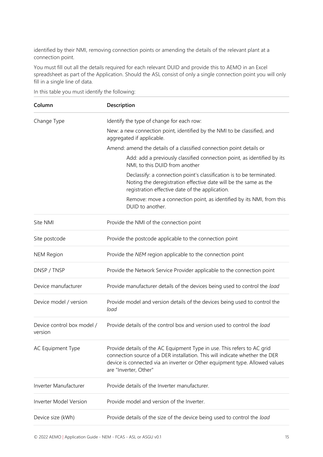identified by their NMI, removing connection points or amending the details of the relevant plant at a connection point.

You must fill out all the details required for each relevant DUID and provide this to AEMO in an Excel spreadsheet as part of the Application. Should the ASL consist of only a single connection point you will only fill in a single line of data.

| Column                                | Description                                                                                                                                                                                                                                                    |
|---------------------------------------|----------------------------------------------------------------------------------------------------------------------------------------------------------------------------------------------------------------------------------------------------------------|
| Change Type                           | Identify the type of change for each row:                                                                                                                                                                                                                      |
|                                       | New: a new connection point, identified by the NMI to be classified, and<br>aggregated if applicable.                                                                                                                                                          |
|                                       | Amend: amend the details of a classified connection point details or                                                                                                                                                                                           |
|                                       | Add: add a previously classified connection point, as identified by its<br>NMI, to this DUID from another                                                                                                                                                      |
|                                       | Declassify: a connection point's classification is to be terminated.<br>Noting the deregistration effective date will be the same as the<br>registration effective date of the application.                                                                    |
|                                       | Remove: move a connection point, as identified by its NMI, from this<br>DUID to another.                                                                                                                                                                       |
| Site NMI                              | Provide the NMI of the connection point                                                                                                                                                                                                                        |
| Site postcode                         | Provide the postcode applicable to the connection point                                                                                                                                                                                                        |
| <b>NEM Region</b>                     | Provide the NEM region applicable to the connection point                                                                                                                                                                                                      |
| DNSP / TNSP                           | Provide the Network Service Provider applicable to the connection point                                                                                                                                                                                        |
| Device manufacturer                   | Provide manufacturer details of the devices being used to control the load                                                                                                                                                                                     |
| Device model / version                | Provide model and version details of the devices being used to control the<br>load                                                                                                                                                                             |
| Device control box model /<br>version | Provide details of the control box and version used to control the load                                                                                                                                                                                        |
| AC Equipment Type                     | Provide details of the AC Equipment Type in use. This refers to AC grid<br>connection source of a DER installation. This will indicate whether the DER<br>device is connected via an inverter or Other equipment type. Allowed values<br>are "Inverter, Other" |
| Inverter Manufacturer                 | Provide details of the Inverter manufacturer.                                                                                                                                                                                                                  |
| <b>Inverter Model Version</b>         | Provide model and version of the Inverter.                                                                                                                                                                                                                     |
| Device size (kWh)                     | Provide details of the size of the device being used to control the load                                                                                                                                                                                       |

In this table you must identify the following: